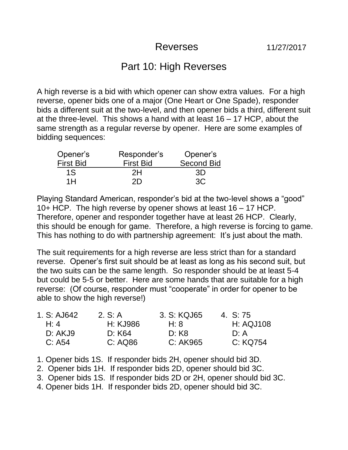## Reverses 11/27/2017

## Part 10: High Reverses

A high reverse is a bid with which opener can show extra values. For a high reverse, opener bids one of a major (One Heart or One Spade), responder bids a different suit at the two-level, and then opener bids a third, different suit at the three-level. This shows a hand with at least 16 – 17 HCP, about the same strength as a regular reverse by opener. Here are some examples of bidding sequences:

| Opener's         | Responder's      | Opener's          |
|------------------|------------------|-------------------|
| <b>First Bid</b> | <b>First Bid</b> | <b>Second Bid</b> |
| 1S               | 2H               | -3D               |
| 1 H              | 2D               | 3C                |

Playing Standard American, responder's bid at the two-level shows a "good" 10+ HCP. The high reverse by opener shows at least 16 – 17 HCP. Therefore, opener and responder together have at least 26 HCP. Clearly, this should be enough for game. Therefore, a high reverse is forcing to game. This has nothing to do with partnership agreement: It's just about the math.

The suit requirements for a high reverse are less strict than for a standard reverse. Opener's first suit should be at least as long as his second suit, but the two suits can be the same length. So responder should be at least 5-4 but could be 5-5 or better. Here are some hands that are suitable for a high reverse: (Of course, responder must "cooperate" in order for opener to be able to show the high reverse!)

| 1. S: AJ642 | 2. S: A  | 3. S: KQJ65 | 4. S: 75         |
|-------------|----------|-------------|------------------|
| H: 4        | H: KJ986 | H: $8$      | <b>H: AQJ108</b> |
| D: AKJ9     | D: K64   | D: K8       | D: A             |
| C: A54      | C: AQ86  | C: AK965    | C: KQ754         |

1. Opener bids 1S. If responder bids 2H, opener should bid 3D.

- 2. Opener bids 1H. If responder bids 2D, opener should bid 3C.
- 3. Opener bids 1S. If responder bids 2D or 2H, opener should bid 3C.
- 4. Opener bids 1H. If responder bids 2D, opener should bid 3C.